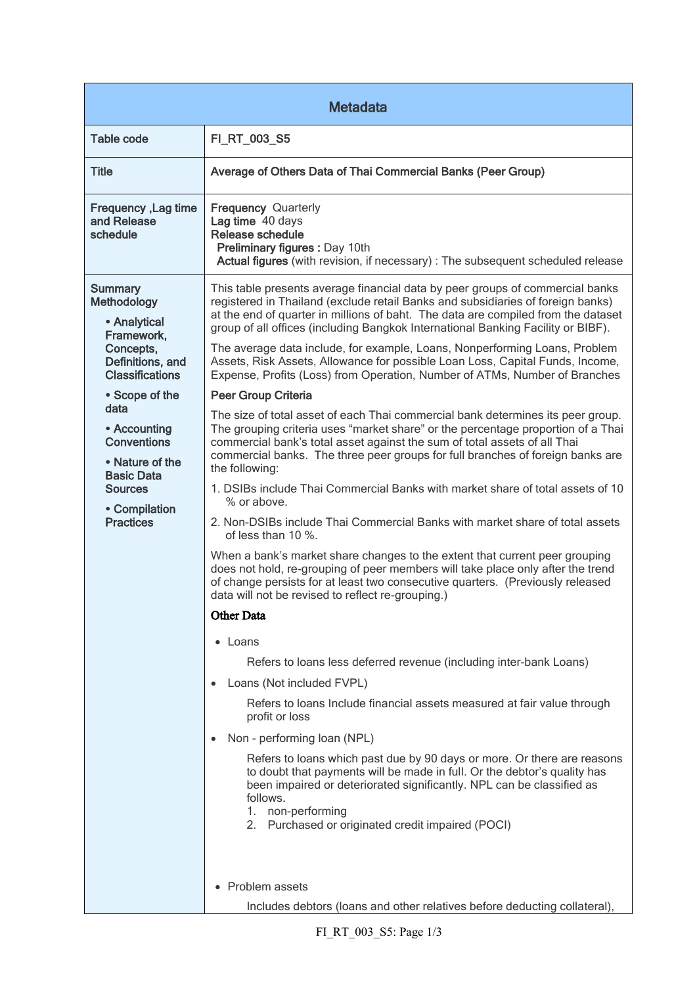| <b>Metadata</b>                                                                                                                                                                                                                                                                       |                                                                                                                                                                                                                                                                                                                                                                                                                                                                                                                                                                                                                                                                                                                                                                                                                                                                                                                                                                                                                                                                                                                                                                                                                                                                                                                                                                                                                                                                                                                                                                                                                                                                                                                                                                                                                                                                                                                                                                                                                       |  |
|---------------------------------------------------------------------------------------------------------------------------------------------------------------------------------------------------------------------------------------------------------------------------------------|-----------------------------------------------------------------------------------------------------------------------------------------------------------------------------------------------------------------------------------------------------------------------------------------------------------------------------------------------------------------------------------------------------------------------------------------------------------------------------------------------------------------------------------------------------------------------------------------------------------------------------------------------------------------------------------------------------------------------------------------------------------------------------------------------------------------------------------------------------------------------------------------------------------------------------------------------------------------------------------------------------------------------------------------------------------------------------------------------------------------------------------------------------------------------------------------------------------------------------------------------------------------------------------------------------------------------------------------------------------------------------------------------------------------------------------------------------------------------------------------------------------------------------------------------------------------------------------------------------------------------------------------------------------------------------------------------------------------------------------------------------------------------------------------------------------------------------------------------------------------------------------------------------------------------------------------------------------------------------------------------------------------------|--|
| <b>Table code</b>                                                                                                                                                                                                                                                                     | FI_RT_003_S5                                                                                                                                                                                                                                                                                                                                                                                                                                                                                                                                                                                                                                                                                                                                                                                                                                                                                                                                                                                                                                                                                                                                                                                                                                                                                                                                                                                                                                                                                                                                                                                                                                                                                                                                                                                                                                                                                                                                                                                                          |  |
| <b>Title</b>                                                                                                                                                                                                                                                                          | Average of Others Data of Thai Commercial Banks (Peer Group)                                                                                                                                                                                                                                                                                                                                                                                                                                                                                                                                                                                                                                                                                                                                                                                                                                                                                                                                                                                                                                                                                                                                                                                                                                                                                                                                                                                                                                                                                                                                                                                                                                                                                                                                                                                                                                                                                                                                                          |  |
| Frequency, Lag time<br>and Release<br>schedule                                                                                                                                                                                                                                        | <b>Frequency Quarterly</b><br>Lag time 40 days<br>Release schedule<br>Preliminary figures : Day 10th<br>Actual figures (with revision, if necessary) : The subsequent scheduled release                                                                                                                                                                                                                                                                                                                                                                                                                                                                                                                                                                                                                                                                                                                                                                                                                                                                                                                                                                                                                                                                                                                                                                                                                                                                                                                                                                                                                                                                                                                                                                                                                                                                                                                                                                                                                               |  |
| <b>Summary</b><br>Methodology<br>• Analytical<br>Framework,<br>Concepts,<br>Definitions, and<br><b>Classifications</b><br>• Scope of the<br>data<br>• Accounting<br><b>Conventions</b><br>• Nature of the<br><b>Basic Data</b><br><b>Sources</b><br>• Compilation<br><b>Practices</b> | This table presents average financial data by peer groups of commercial banks<br>registered in Thailand (exclude retail Banks and subsidiaries of foreign banks)<br>at the end of quarter in millions of baht. The data are compiled from the dataset<br>group of all offices (including Bangkok International Banking Facility or BIBF).<br>The average data include, for example, Loans, Nonperforming Loans, Problem<br>Assets, Risk Assets, Allowance for possible Loan Loss, Capital Funds, Income,<br>Expense, Profits (Loss) from Operation, Number of ATMs, Number of Branches<br><b>Peer Group Criteria</b><br>The size of total asset of each Thai commercial bank determines its peer group.<br>The grouping criteria uses "market share" or the percentage proportion of a Thai<br>commercial bank's total asset against the sum of total assets of all Thai<br>commercial banks. The three peer groups for full branches of foreign banks are<br>the following:<br>1. DSIBs include Thai Commercial Banks with market share of total assets of 10<br>% or above.<br>2. Non-DSIBs include Thai Commercial Banks with market share of total assets<br>of less than 10 %.<br>When a bank's market share changes to the extent that current peer grouping<br>does not hold, re-grouping of peer members will take place only after the trend<br>of change persists for at least two consecutive quarters. (Previously released<br>data will not be revised to reflect re-grouping.)<br><b>Other Data</b><br>• Loans<br>Refers to loans less deferred revenue (including inter-bank Loans)<br>Loans (Not included FVPL)<br>$\bullet$<br>Refers to loans Include financial assets measured at fair value through<br>profit or loss<br>Non - performing loan (NPL)<br>$\bullet$<br>Refers to loans which past due by 90 days or more. Or there are reasons<br>to doubt that payments will be made in full. Or the debtor's quality has<br>been impaired or deteriorated significantly. NPL can be classified as |  |
|                                                                                                                                                                                                                                                                                       | follows.<br>1. non-performing<br>2. Purchased or originated credit impaired (POCI)<br>• Problem assets                                                                                                                                                                                                                                                                                                                                                                                                                                                                                                                                                                                                                                                                                                                                                                                                                                                                                                                                                                                                                                                                                                                                                                                                                                                                                                                                                                                                                                                                                                                                                                                                                                                                                                                                                                                                                                                                                                                |  |
|                                                                                                                                                                                                                                                                                       | Includes debtors (loans and other relatives before deducting collateral)                                                                                                                                                                                                                                                                                                                                                                                                                                                                                                                                                                                                                                                                                                                                                                                                                                                                                                                                                                                                                                                                                                                                                                                                                                                                                                                                                                                                                                                                                                                                                                                                                                                                                                                                                                                                                                                                                                                                              |  |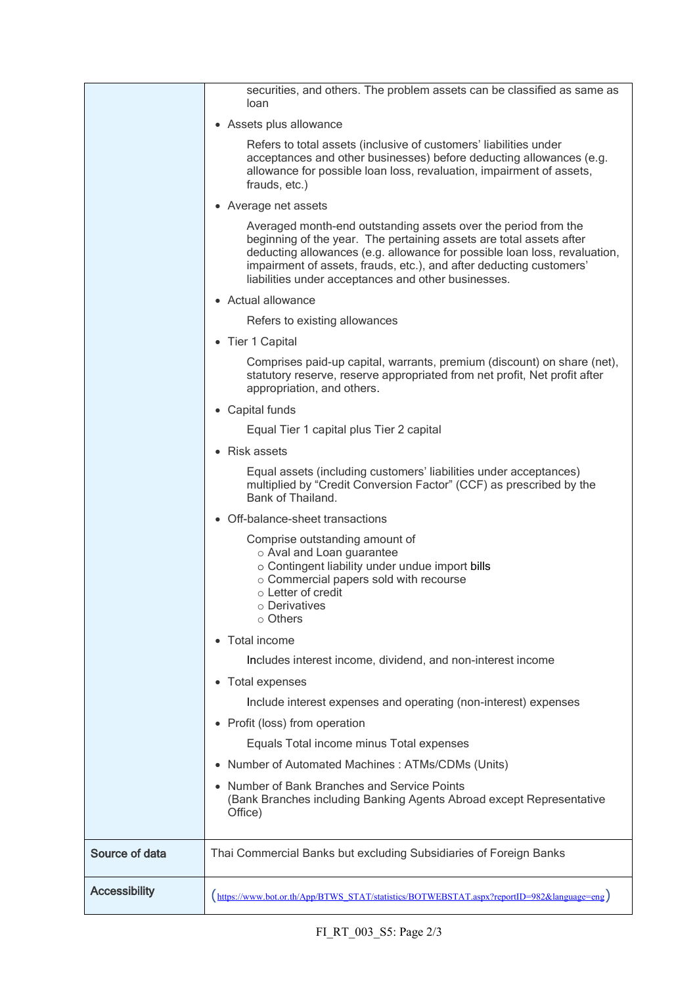|                      | securities, and others. The problem assets can be classified as same as<br>loan                                                                                                                                                                                                                                                                  |
|----------------------|--------------------------------------------------------------------------------------------------------------------------------------------------------------------------------------------------------------------------------------------------------------------------------------------------------------------------------------------------|
|                      | • Assets plus allowance                                                                                                                                                                                                                                                                                                                          |
|                      | Refers to total assets (inclusive of customers' liabilities under<br>acceptances and other businesses) before deducting allowances (e.g.<br>allowance for possible loan loss, revaluation, impairment of assets,<br>frauds, etc.)                                                                                                                |
|                      | • Average net assets                                                                                                                                                                                                                                                                                                                             |
|                      | Averaged month-end outstanding assets over the period from the<br>beginning of the year. The pertaining assets are total assets after<br>deducting allowances (e.g. allowance for possible loan loss, revaluation,<br>impairment of assets, frauds, etc.), and after deducting customers'<br>liabilities under acceptances and other businesses. |
|                      | • Actual allowance                                                                                                                                                                                                                                                                                                                               |
|                      | Refers to existing allowances                                                                                                                                                                                                                                                                                                                    |
|                      | • Tier 1 Capital                                                                                                                                                                                                                                                                                                                                 |
|                      | Comprises paid-up capital, warrants, premium (discount) on share (net),<br>statutory reserve, reserve appropriated from net profit, Net profit after<br>appropriation, and others.                                                                                                                                                               |
|                      | • Capital funds                                                                                                                                                                                                                                                                                                                                  |
|                      | Equal Tier 1 capital plus Tier 2 capital                                                                                                                                                                                                                                                                                                         |
|                      | • Risk assets                                                                                                                                                                                                                                                                                                                                    |
|                      | Equal assets (including customers' liabilities under acceptances)<br>multiplied by "Credit Conversion Factor" (CCF) as prescribed by the<br>Bank of Thailand.                                                                                                                                                                                    |
|                      | • Off-balance-sheet transactions                                                                                                                                                                                                                                                                                                                 |
|                      | Comprise outstanding amount of<br>o Aval and Loan guarantee<br>o Contingent liability under undue import bills<br>o Commercial papers sold with recourse<br>$\circ$ Letter of credit<br>○ Derivatives<br>$\circ$ Others                                                                                                                          |
|                      | Total income                                                                                                                                                                                                                                                                                                                                     |
|                      | Includes interest income, dividend, and non-interest income                                                                                                                                                                                                                                                                                      |
|                      | Total expenses                                                                                                                                                                                                                                                                                                                                   |
|                      | Include interest expenses and operating (non-interest) expenses                                                                                                                                                                                                                                                                                  |
|                      | Profit (loss) from operation                                                                                                                                                                                                                                                                                                                     |
|                      | Equals Total income minus Total expenses                                                                                                                                                                                                                                                                                                         |
|                      | Number of Automated Machines: ATMs/CDMs (Units)                                                                                                                                                                                                                                                                                                  |
|                      | Number of Bank Branches and Service Points<br>(Bank Branches including Banking Agents Abroad except Representative<br>Office)                                                                                                                                                                                                                    |
| Source of data       | Thai Commercial Banks but excluding Subsidiaries of Foreign Banks                                                                                                                                                                                                                                                                                |
| <b>Accessibility</b> | (https://www.bot.or.th/App/BTWS_STAT/statistics/BOTWEBSTAT.aspx?reportID=982&language=eng)                                                                                                                                                                                                                                                       |